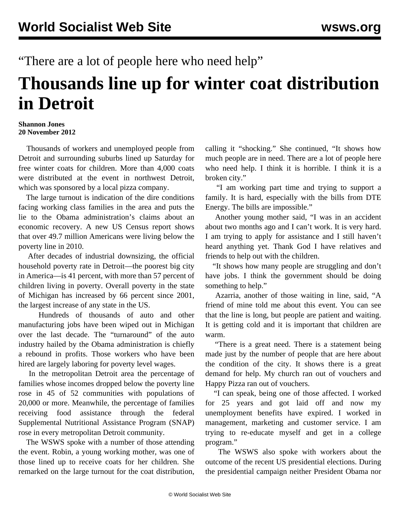"There are a lot of people here who need help"

## **Thousands line up for winter coat distribution in Detroit**

## **Shannon Jones 20 November 2012**

 Thousands of workers and unemployed people from Detroit and surrounding suburbs lined up Saturday for free winter coats for children. More than 4,000 coats were distributed at the event in northwest Detroit, which was sponsored by a local pizza company.

 The large turnout is indication of the dire conditions facing working class families in the area and puts the lie to the Obama administration's claims about an economic recovery. A new US Census report shows that over 49.7 million Americans were living below the poverty line in 2010.

 After decades of industrial downsizing, the official household poverty rate in Detroit—the poorest big city in America—is 41 percent, with more than 57 percent of children living in poverty. Overall poverty in the state of Michigan has increased by 66 percent since 2001, the largest increase of any state in the US.

 Hundreds of thousands of auto and other manufacturing jobs have been wiped out in Michigan over the last decade. The "turnaround" of the auto industry hailed by the Obama administration is chiefly a rebound in profits. Those workers who have been hired are largely laboring for poverty level wages.

 In the metropolitan Detroit area the percentage of families whose incomes dropped below the poverty line rose in 45 of 52 communities with populations of 20,000 or more. Meanwhile, the percentage of families receiving food assistance through the federal Supplemental Nutritional Assistance Program (SNAP) rose in every metropolitan Detroit community.

 The WSWS spoke with a number of those attending the event. Robin, a young working mother, was one of those lined up to receive coats for her children. She remarked on the large turnout for the coat distribution,

calling it "shocking." She continued, "It shows how much people are in need. There are a lot of people here who need help. I think it is horrible. I think it is a broken city."

 "I am working part time and trying to support a family. It is hard, especially with the bills from DTE Energy. The bills are impossible."

 Another young mother said, "I was in an accident about two months ago and I can't work. It is very hard. I am trying to apply for assistance and I still haven't heard anything yet. Thank God I have relatives and friends to help out with the children.

 "It shows how many people are struggling and don't have jobs. I think the government should be doing something to help."

 Azarria, another of those waiting in line, said, "A friend of mine told me about this event. You can see that the line is long, but people are patient and waiting. It is getting cold and it is important that children are warm.

 "There is a great need. There is a statement being made just by the number of people that are here about the condition of the city. It shows there is a great demand for help. My church ran out of vouchers and Happy Pizza ran out of vouchers.

 "I can speak, being one of those affected. I worked for 25 years and got laid off and now my unemployment benefits have expired. I worked in management, marketing and customer service. I am trying to re-educate myself and get in a college program."

 The WSWS also spoke with workers about the outcome of the recent US presidential elections. During the presidential campaign neither President Obama nor